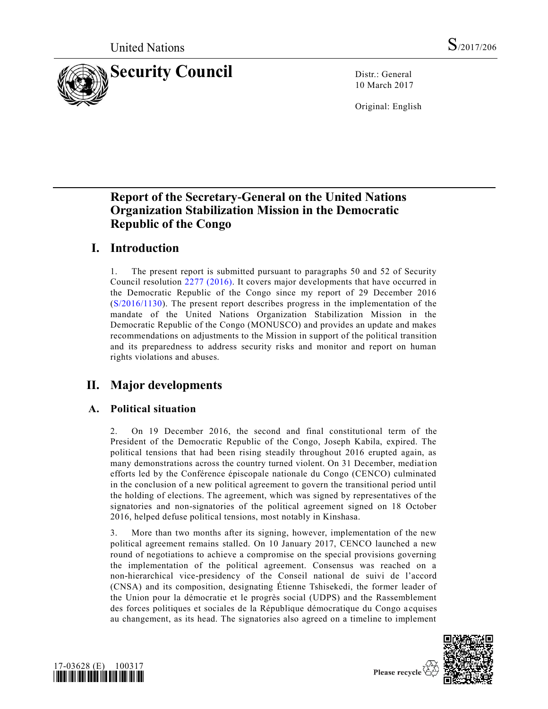

10 March 2017

Original: English

# **Report of the Secretary-General on the United Nations Organization Stabilization Mission in the Democratic Republic of the Congo**

# **I. Introduction**

1. The present report is submitted pursuant to paragraphs 50 and 52 of Security Council resolution [2277 \(2016\).](http://undocs.org/S/RES/2277(2016)) It covers major developments that have occurred in the Democratic Republic of the Congo since my report of 29 December 2016 [\(S/2016/1130\)](http://undocs.org/S/2016/1130). The present report describes progress in the implementation of the mandate of the United Nations Organization Stabilization Mission in the Democratic Republic of the Congo (MONUSCO) and provides an update and makes recommendations on adjustments to the Mission in support of the political transition and its preparedness to address security risks and monitor and report on human rights violations and abuses.

# **II. Major developments**

## **A. Political situation**

2. On 19 December 2016, the second and final constitutional term of the President of the Democratic Republic of the Congo, Joseph Kabila, expired. The political tensions that had been rising steadily throughout 2016 erupted again, as many demonstrations across the country turned violent. On 31 December, mediation efforts led by the Conférence épiscopale nationale du Congo (CENCO) culminated in the conclusion of a new political agreement to govern the transitional period until the holding of elections. The agreement, which was signed by representatives of the signatories and non-signatories of the political agreement signed on 18 October 2016, helped defuse political tensions, most notably in Kinshasa.

3. More than two months after its signing, however, implementation of the new political agreement remains stalled. On 10 January 2017, CENCO launched a new round of negotiations to achieve a compromise on the special provisions governing the implementation of the political agreement. Consensus was reached on a non-hierarchical vice-presidency of the Conseil national de suivi de l'accord (CNSA) and its composition, designating Étienne Tshisekedi, the former leader of the Union pour la démocratie et le progrès social (UDPS) and the Rassemblement des forces politiques et sociales de la République démocratique du Congo a cquises au changement, as its head. The signatories also agreed on a timeline to implement



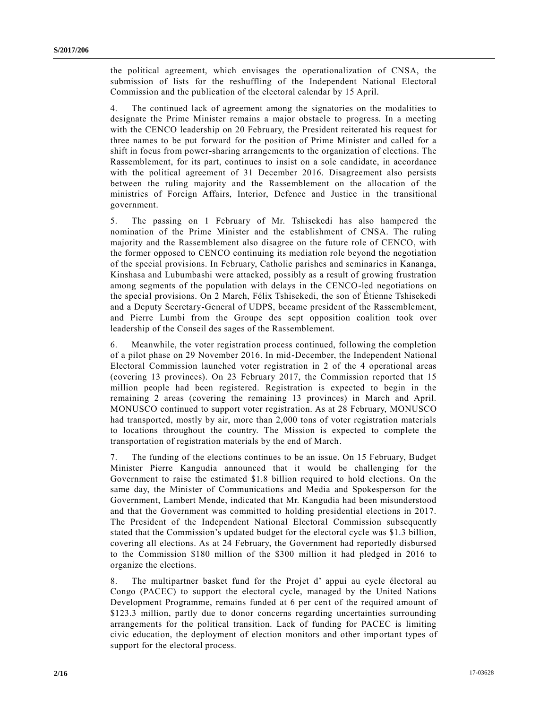the political agreement, which envisages the operationalization of CNSA, the submission of lists for the reshuffling of the Independent National Electoral Commission and the publication of the electoral calendar by 15 April.

4. The continued lack of agreement among the signatories on the modalities to designate the Prime Minister remains a major obstacle to progress. In a meeting with the CENCO leadership on 20 February, the President reiterated his request for three names to be put forward for the position of Prime Minister and called for a shift in focus from power-sharing arrangements to the organization of elections. The Rassemblement, for its part, continues to insist on a sole candidate, in accordance with the political agreement of 31 December 2016. Disagreement also persists between the ruling majority and the Rassemblement on the allocation of the ministries of Foreign Affairs, Interior, Defence and Justice in the transitional government.

5. The passing on 1 February of Mr. Tshisekedi has also hampered the nomination of the Prime Minister and the establishment of CNSA. The ruling majority and the Rassemblement also disagree on the future role of CENCO, with the former opposed to CENCO continuing its mediation role beyond the negotiation of the special provisions. In February, Catholic parishes and seminaries in Kananga, Kinshasa and Lubumbashi were attacked, possibly as a result of growing frustration among segments of the population with delays in the CENCO-led negotiations on the special provisions. On 2 March, Félix Tshisekedi, the son of Étienne Tshisekedi and a Deputy Secretary-General of UDPS, became president of the Rassemblement, and Pierre Lumbi from the Groupe des sept opposition coalition took over leadership of the Conseil des sages of the Rassemblement.

6. Meanwhile, the voter registration process continued, following the completion of a pilot phase on 29 November 2016. In mid-December, the Independent National Electoral Commission launched voter registration in 2 of the 4 operational areas (covering 13 provinces). On 23 February 2017, the Commission reported that 15 million people had been registered. Registration is expected to begin in the remaining 2 areas (covering the remaining 13 provinces) in March and April. MONUSCO continued to support voter registration. As at 28 February, MONUSCO had transported, mostly by air, more than 2,000 tons of voter registration materials to locations throughout the country. The Mission is expected to complete the transportation of registration materials by the end of March.

7. The funding of the elections continues to be an issue. On 15 February, Budget Minister Pierre Kangudia announced that it would be challenging for the Government to raise the estimated \$1.8 billion required to hold elections. On the same day, the Minister of Communications and Media and Spokesperson for the Government, Lambert Mende, indicated that Mr. Kangudia had been misunderstood and that the Government was committed to holding presidential elections in 2017. The President of the Independent National Electoral Commission subsequently stated that the Commission's updated budget for the electoral cycle was \$1.3 billion, covering all elections. As at 24 February, the Government had reportedly disbursed to the Commission \$180 million of the \$300 million it had pledged in 2016 to organize the elections.

8. The multipartner basket fund for the Projet d' appui au cycle électoral au Congo (PACEC) to support the electoral cycle, managed by the United Nations Development Programme, remains funded at 6 per cent of the required amount of \$123.3 million, partly due to donor concerns regarding uncertainties surrounding arrangements for the political transition. Lack of funding for PACEC is limiting civic education, the deployment of election monitors and other important types of support for the electoral process.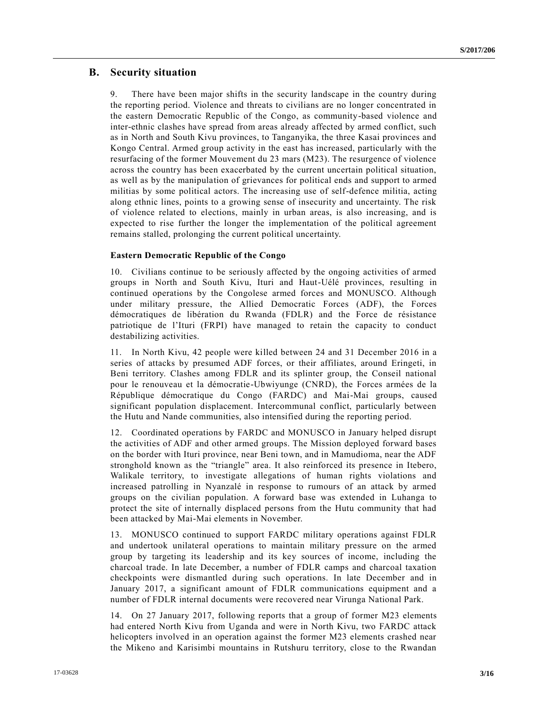### **B. Security situation**

9. There have been major shifts in the security landscape in the country during the reporting period. Violence and threats to civilians are no longer concentrated in the eastern Democratic Republic of the Congo, as community-based violence and inter-ethnic clashes have spread from areas already affected by armed conflict, such as in North and South Kivu provinces, to Tanganyika, the three Kasai provinces and Kongo Central. Armed group activity in the east has increased, particularly with the resurfacing of the former Mouvement du 23 mars (M23). The resurgence of violence across the country has been exacerbated by the current uncertain political situation, as well as by the manipulation of grievances for political ends and support to armed militias by some political actors. The increasing use of self-defence militia, acting along ethnic lines, points to a growing sense of insecurity and uncertainty. The risk of violence related to elections, mainly in urban areas, is also increasing, and is expected to rise further the longer the implementation of the political agreement remains stalled, prolonging the current political uncertainty.

#### **Eastern Democratic Republic of the Congo**

10. Civilians continue to be seriously affected by the ongoing activities of armed groups in North and South Kivu, Ituri and Haut-Uélé provinces, resulting in continued operations by the Congolese armed forces and MONUSCO. Although under military pressure, the Allied Democratic Forces (ADF), the Forces démocratiques de libération du Rwanda (FDLR) and the Force de résistance patriotique de l'Ituri (FRPI) have managed to retain the capacity to conduct destabilizing activities.

11. In North Kivu, 42 people were killed between 24 and 31 December 2016 in a series of attacks by presumed ADF forces, or their affiliates, around Eringeti, in Beni territory. Clashes among FDLR and its splinter group, the Conseil national pour le renouveau et la démocratie-Ubwiyunge (CNRD), the Forces armées de la République démocratique du Congo (FARDC) and Mai-Mai groups, caused significant population displacement. Intercommunal conflict, particularly between the Hutu and Nande communities, also intensified during the reporting period.

12. Coordinated operations by FARDC and MONUSCO in January helped disrupt the activities of ADF and other armed groups. The Mission deployed forward bases on the border with Ituri province, near Beni town, and in Mamudioma, near the ADF stronghold known as the "triangle" area. It also reinforced its presence in Itebero, Walikale territory, to investigate allegations of human rights violations and increased patrolling in Nyanzalé in response to rumours of an attack by armed groups on the civilian population. A forward base was extended in Luhanga to protect the site of internally displaced persons from the Hutu community that had been attacked by Mai-Mai elements in November.

13. MONUSCO continued to support FARDC military operations against FDLR and undertook unilateral operations to maintain military pressure on the armed group by targeting its leadership and its key sources of income, including the charcoal trade. In late December, a number of FDLR camps and charcoal taxation checkpoints were dismantled during such operations. In late December and in January 2017, a significant amount of FDLR communications equipment and a number of FDLR internal documents were recovered near Virunga National Park.

14. On 27 January 2017, following reports that a group of former M23 elements had entered North Kivu from Uganda and were in North Kivu, two FARDC attack helicopters involved in an operation against the former M23 elements crashed near the Mikeno and Karisimbi mountains in Rutshuru territory, close to the Rwandan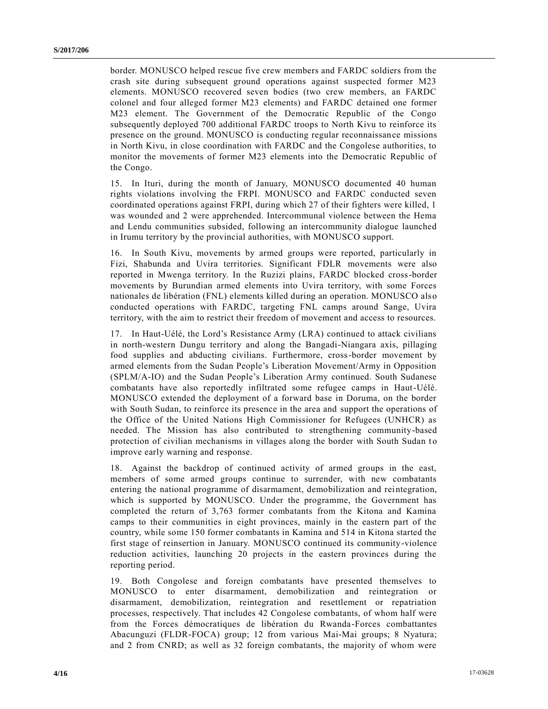border. MONUSCO helped rescue five crew members and FARDC soldiers from the crash site during subsequent ground operations against suspected former M23 elements. MONUSCO recovered seven bodies (two crew members, an FARDC colonel and four alleged former M23 elements) and FARDC detained one former M23 element. The Government of the Democratic Republic of the Congo subsequently deployed 700 additional FARDC troops to North Kivu to reinforce its presence on the ground. MONUSCO is conducting regular reconnaissance missions in North Kivu, in close coordination with FARDC and the Congolese authorities, to monitor the movements of former M23 elements into the Democratic Republic of the Congo.

15. In Ituri, during the month of January, MONUSCO documented 40 human rights violations involving the FRPI. MONUSCO and FARDC conducted seven coordinated operations against FRPI, during which 27 of their fighters were killed, 1 was wounded and 2 were apprehended. Intercommunal violence between the Hema and Lendu communities subsided, following an intercommunity dialogue launched in Irumu territory by the provincial authorities, with MONUSCO support.

16. In South Kivu, movements by armed groups were reported, particularly in Fizi, Shabunda and Uvira territories. Significant FDLR movements were also reported in Mwenga territory. In the Ruzizi plains, FARDC blocked cross-border movements by Burundian armed elements into Uvira territory, with some Forces nationales de libération (FNL) elements killed during an operation. MONUSCO also conducted operations with FARDC, targeting FNL camps around Sange, Uvira territory, with the aim to restrict their freedom of movement and access to resources.

17. In Haut-Uélé, the Lord's Resistance Army (LRA) continued to attack civilians in north-western Dungu territory and along the Bangadi-Niangara axis, pillaging food supplies and abducting civilians. Furthermore, cross-border movement by armed elements from the Sudan People's Liberation Movement/Army in Opposition (SPLM/A-IO) and the Sudan People's Liberation Army continued. South Sudanese combatants have also reportedly infiltrated some refugee camps in Haut-Uélé. MONUSCO extended the deployment of a forward base in Doruma, on the border with South Sudan, to reinforce its presence in the area and support the operations of the Office of the United Nations High Commissioner for Refugees (UNHCR) as needed. The Mission has also contributed to strengthening community-based protection of civilian mechanisms in villages along the border with South Sudan to improve early warning and response.

18. Against the backdrop of continued activity of armed groups in the east, members of some armed groups continue to surrender, with new combatants entering the national programme of disarmament, demobilization and reintegration, which is supported by MONUSCO. Under the programme, the Government has completed the return of 3,763 former combatants from the Kitona and Kamina camps to their communities in eight provinces, mainly in the eastern part of the country, while some 150 former combatants in Kamina and 514 in Kitona started the first stage of reinsertion in January. MONUSCO continued its community-violence reduction activities, launching 20 projects in the eastern provinces during the reporting period.

19. Both Congolese and foreign combatants have presented themselves to MONUSCO to enter disarmament, demobilization and reintegration or disarmament, demobilization, reintegration and resettlement or repatriation processes, respectively. That includes 42 Congolese combatants, of whom half were from the Forces démocratiques de libération du Rwanda-Forces combattantes Abacunguzi (FLDR-FOCA) group; 12 from various Mai-Mai groups; 8 Nyatura; and 2 from CNRD; as well as 32 foreign combatants, the majority of whom were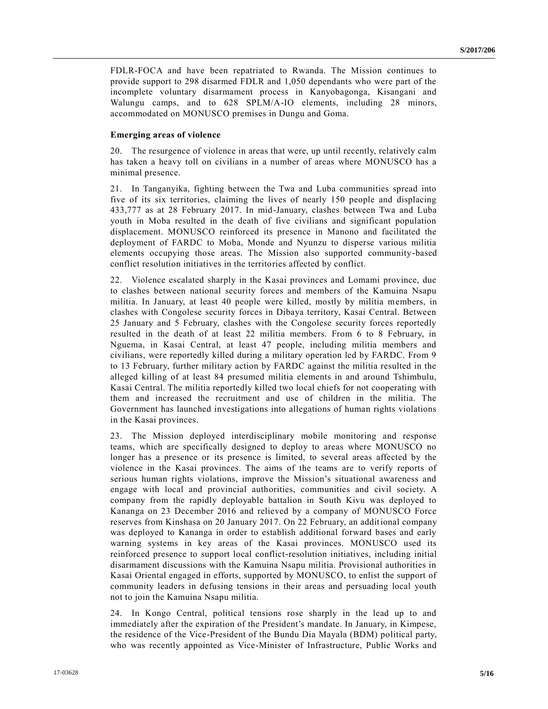FDLR-FOCA and have been repatriated to Rwanda. The Mission continues to provide support to 298 disarmed FDLR and 1,050 dependants who were part of the incomplete voluntary disarmament process in Kanyobagonga, Kisangani and Walungu camps, and to 628 SPLM/A-IO elements, including 28 minors, accommodated on MONUSCO premises in Dungu and Goma.

#### **Emerging areas of violence**

20. The resurgence of violence in areas that were, up until recently, relatively calm has taken a heavy toll on civilians in a number of areas where MONUSCO has a minimal presence.

21. In Tanganyika, fighting between the Twa and Luba communities spread into five of its six territories, claiming the lives of nearly 150 people and displacing 433,777 as at 28 February 2017. In mid-January, clashes between Twa and Luba youth in Moba resulted in the death of five civilians and significant population displacement. MONUSCO reinforced its presence in Manono and facilitated the deployment of FARDC to Moba, Monde and Nyunzu to disperse various militia elements occupying those areas. The Mission also supported community-based conflict resolution initiatives in the territories affected by conflict.

22. Violence escalated sharply in the Kasai provinces and Lomami province, due to clashes between national security forces and members of the Kamuina Nsapu militia. In January, at least 40 people were killed, mostly by militia members, in clashes with Congolese security forces in Dibaya territory, Kasai Central. Between 25 January and 5 February, clashes with the Congolese security forces reportedly resulted in the death of at least 22 militia members. From 6 to 8 February, in Nguema, in Kasai Central, at least 47 people, including militia members and civilians, were reportedly killed during a military operation led by FARDC. From 9 to 13 February, further military action by FARDC against the militia resulted in the alleged killing of at least 84 presumed militia elements in and around Tshimbulu, Kasai Central. The militia reportedly killed two local chiefs for not cooperating with them and increased the recruitment and use of children in the militia. The Government has launched investigations into allegations of human rights violations in the Kasai provinces.

23. The Mission deployed interdisciplinary mobile monitoring and response teams, which are specifically designed to deploy to areas where MONUSCO no longer has a presence or its presence is limited, to several areas affected by the violence in the Kasai provinces. The aims of the teams are to verify reports of serious human rights violations, improve the Mission's situational awareness and engage with local and provincial authorities, communities and civil society. A company from the rapidly deployable battalion in South Kivu was deployed to Kananga on 23 December 2016 and relieved by a company of MONUSCO Force reserves from Kinshasa on 20 January 2017. On 22 February, an additional company was deployed to Kananga in order to establish additional forward bases and early warning systems in key areas of the Kasai provinces. MONUSCO used its reinforced presence to support local conflict-resolution initiatives, including initial disarmament discussions with the Kamuina Nsapu militia. Provisional authorities in Kasai Oriental engaged in efforts, supported by MONUSCO, to enlist the support of community leaders in defusing tensions in their areas and persuading local youth not to join the Kamuina Nsapu militia.

24. In Kongo Central, political tensions rose sharply in the lead up to and immediately after the expiration of the President's mandate. In January, in Kimpese, the residence of the Vice-President of the Bundu Dia Mayala (BDM) political party, who was recently appointed as Vice-Minister of Infrastructure, Public Works and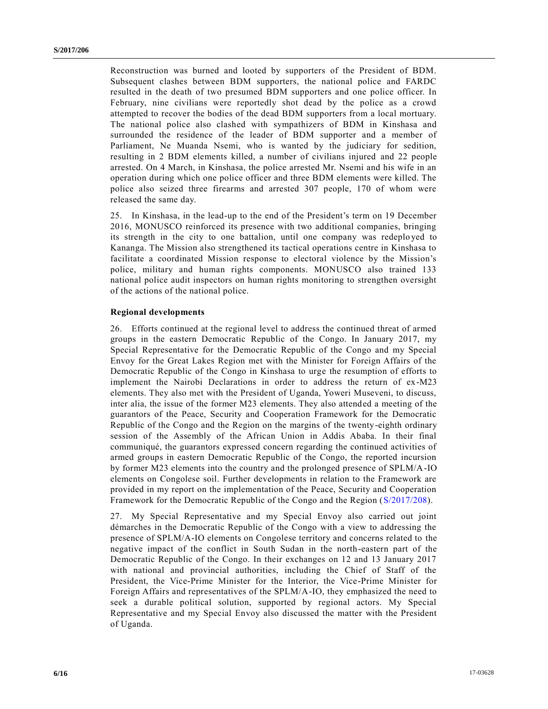Reconstruction was burned and looted by supporters of the President of BDM. Subsequent clashes between BDM supporters, the national police and FARDC resulted in the death of two presumed BDM supporters and one police officer. In February, nine civilians were reportedly shot dead by the police as a crowd attempted to recover the bodies of the dead BDM supporters from a local mortuary. The national police also clashed with sympathizers of BDM in Kinshasa and surrounded the residence of the leader of BDM supporter and a member of Parliament, Ne Muanda Nsemi, who is wanted by the judiciary for sedition, resulting in 2 BDM elements killed, a number of civilians injured and 22 people arrested. On 4 March, in Kinshasa, the police arrested Mr. Nsemi and his wife in an operation during which one police officer and three BDM elements were killed. The police also seized three firearms and arrested 307 people, 170 of whom were released the same day.

25. In Kinshasa, in the lead-up to the end of the President's term on 19 December 2016, MONUSCO reinforced its presence with two additional companies, bringing its strength in the city to one battalion, until one company was redeplo yed to Kananga. The Mission also strengthened its tactical operations centre in Kinshasa to facilitate a coordinated Mission response to electoral violence by the Mission's police, military and human rights components. MONUSCO also trained 133 national police audit inspectors on human rights monitoring to strengthen oversight of the actions of the national police.

#### **Regional developments**

26. Efforts continued at the regional level to address the continued threat of armed groups in the eastern Democratic Republic of the Congo. In January 2017, my Special Representative for the Democratic Republic of the Congo and my Special Envoy for the Great Lakes Region met with the Minister for Foreign Affairs of the Democratic Republic of the Congo in Kinshasa to urge the resumption of efforts to implement the Nairobi Declarations in order to address the return of ex-M23 elements. They also met with the President of Uganda, Yoweri Museveni, to discuss, inter alia, the issue of the former M23 elements. They also attended a meeting of the guarantors of the Peace, Security and Cooperation Framework for the Democratic Republic of the Congo and the Region on the margins of the twenty-eighth ordinary session of the Assembly of the African Union in Addis Ababa. In their final communiqué, the guarantors expressed concern regarding the continued activities of armed groups in eastern Democratic Republic of the Congo, the reported incursion by former M23 elements into the country and the prolonged presence of SPLM/A-IO elements on Congolese soil. Further developments in relation to the Framework are provided in my report on the implementation of the Peace, Security and Cooperation Framework for the Democratic Republic of the Congo and the Region [\(S/2017/208\)](http://undocs.org/S/2017/208).

27. My Special Representative and my Special Envoy also carried out joint démarches in the Democratic Republic of the Congo with a view to addressing the presence of SPLM/A-IO elements on Congolese territory and concerns related to the negative impact of the conflict in South Sudan in the north-eastern part of the Democratic Republic of the Congo. In their exchanges on 12 and 13 January 2017 with national and provincial authorities, including the Chief of Staff of the President, the Vice-Prime Minister for the Interior, the Vice-Prime Minister for Foreign Affairs and representatives of the SPLM/A-IO, they emphasized the need to seek a durable political solution, supported by regional actors. My Special Representative and my Special Envoy also discussed the matter with the President of Uganda.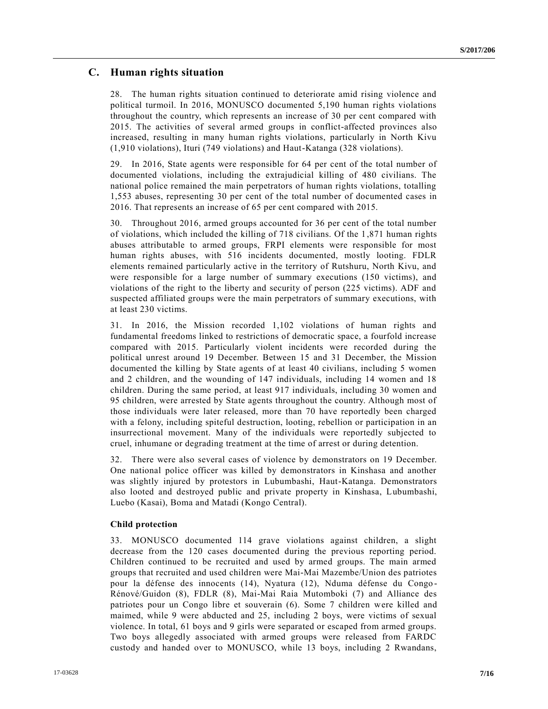### **C. Human rights situation**

28. The human rights situation continued to deteriorate amid rising violence and political turmoil. In 2016, MONUSCO documented 5,190 human rights violations throughout the country, which represents an increase of 30 per cent compared with 2015. The activities of several armed groups in conflict-affected provinces also increased, resulting in many human rights violations, particularly in North Kivu (1,910 violations), Ituri (749 violations) and Haut-Katanga (328 violations).

29. In 2016, State agents were responsible for 64 per cent of the total number of documented violations, including the extrajudicial killing of 480 civilians. The national police remained the main perpetrators of human rights violations, totalling 1,553 abuses, representing 30 per cent of the total number of documented cases in 2016. That represents an increase of 65 per cent compared with 2015.

30. Throughout 2016, armed groups accounted for 36 per cent of the total number of violations, which included the killing of 718 civilians. Of the 1,871 human rights abuses attributable to armed groups, FRPI elements were responsible for most human rights abuses, with 516 incidents documented, mostly looting. FDLR elements remained particularly active in the territory of Rutshuru, North Kivu, and were responsible for a large number of summary executions (150 victims), and violations of the right to the liberty and security of person (225 victims). ADF and suspected affiliated groups were the main perpetrators of summary executions, with at least 230 victims.

31. In 2016, the Mission recorded 1,102 violations of human rights and fundamental freedoms linked to restrictions of democratic space, a fourfold increase compared with 2015. Particularly violent incidents were recorded during the political unrest around 19 December. Between 15 and 31 December, the Mission documented the killing by State agents of at least 40 civilians, including 5 women and 2 children, and the wounding of 147 individuals, including 14 women and 18 children. During the same period, at least 917 individuals, including 30 women and 95 children, were arrested by State agents throughout the country. Although most of those individuals were later released, more than 70 have reportedly been charged with a felony, including spiteful destruction, looting, rebellion or participation in an insurrectional movement. Many of the individuals were reportedly subjected to cruel, inhumane or degrading treatment at the time of arrest or during detention.

32. There were also several cases of violence by demonstrators on 19 December. One national police officer was killed by demonstrators in Kinshasa and another was slightly injured by protestors in Lubumbashi, Haut-Katanga. Demonstrators also looted and destroyed public and private property in Kinshasa, Lubumbashi, Luebo (Kasai), Boma and Matadi (Kongo Central).

#### **Child protection**

33. MONUSCO documented 114 grave violations against children, a slight decrease from the 120 cases documented during the previous reporting period. Children continued to be recruited and used by armed groups. The main armed groups that recruited and used children were Mai-Mai Mazembe/Union des patriotes pour la défense des innocents (14), Nyatura (12), Nduma défense du Congo - Rénové/Guidon (8), FDLR (8), Mai-Mai Raia Mutomboki (7) and Alliance des patriotes pour un Congo libre et souverain (6). Some 7 children were killed and maimed, while 9 were abducted and 25, including 2 boys, were victims of sexual violence. In total, 61 boys and 9 girls were separated or escaped from armed groups. Two boys allegedly associated with armed groups were released from FARDC custody and handed over to MONUSCO, while 13 boys, including 2 Rwandans,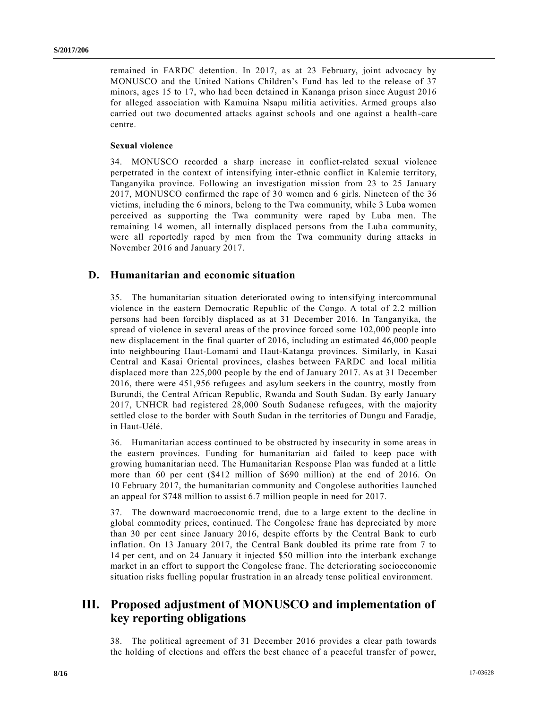remained in FARDC detention. In 2017, as at 23 February, joint advocacy by MONUSCO and the United Nations Children's Fund has led to the release of 37 minors, ages 15 to 17, who had been detained in Kananga prison since August 2016 for alleged association with Kamuina Nsapu militia activities. Armed groups also carried out two documented attacks against schools and one against a health-care centre.

#### **Sexual violence**

34. MONUSCO recorded a sharp increase in conflict-related sexual violence perpetrated in the context of intensifying inter-ethnic conflict in Kalemie territory, Tanganyika province. Following an investigation mission from 23 to 25 January 2017, MONUSCO confirmed the rape of 30 women and 6 girls. Nineteen of the 36 victims, including the 6 minors, belong to the Twa community, while 3 Luba women perceived as supporting the Twa community were raped by Luba men. The remaining 14 women, all internally displaced persons from the Luba community, were all reportedly raped by men from the Twa community during attacks in November 2016 and January 2017.

### **D. Humanitarian and economic situation**

35. The humanitarian situation deteriorated owing to intensifying intercommunal violence in the eastern Democratic Republic of the Congo. A total of 2.2 million persons had been forcibly displaced as at 31 December 2016. In Tanganyika, the spread of violence in several areas of the province forced some 102,000 people into new displacement in the final quarter of 2016, including an estimated 46,000 people into neighbouring Haut-Lomami and Haut-Katanga provinces. Similarly, in Kasai Central and Kasai Oriental provinces, clashes between FARDC and local militia displaced more than 225,000 people by the end of January 2017. As at 31 December 2016, there were 451,956 refugees and asylum seekers in the country, mostly from Burundi, the Central African Republic, Rwanda and South Sudan. By early January 2017, UNHCR had registered 28,000 South Sudanese refugees, with the majority settled close to the border with South Sudan in the territories of Dungu and Faradje, in Haut-Uélé.

36. Humanitarian access continued to be obstructed by insecurity in some areas in the eastern provinces. Funding for humanitarian aid failed to keep pace with growing humanitarian need. The Humanitarian Response Plan was funded at a little more than 60 per cent (\$412 million of \$690 million) at the end of 2016. On 10 February 2017, the humanitarian community and Congolese authorities l aunched an appeal for \$748 million to assist 6.7 million people in need for 2017.

37. The downward macroeconomic trend, due to a large extent to the decline in global commodity prices, continued. The Congolese franc has depreciated by more than 30 per cent since January 2016, despite efforts by the Central Bank to curb inflation. On 13 January 2017, the Central Bank doubled its prime rate from 7 to 14 per cent, and on 24 January it injected \$50 million into the interbank exchange market in an effort to support the Congolese franc. The deteriorating socioeconomic situation risks fuelling popular frustration in an already tense political environment.

### **III. Proposed adjustment of MONUSCO and implementation of key reporting obligations**

38. The political agreement of 31 December 2016 provides a clear path towards the holding of elections and offers the best chance of a peaceful transfer of power,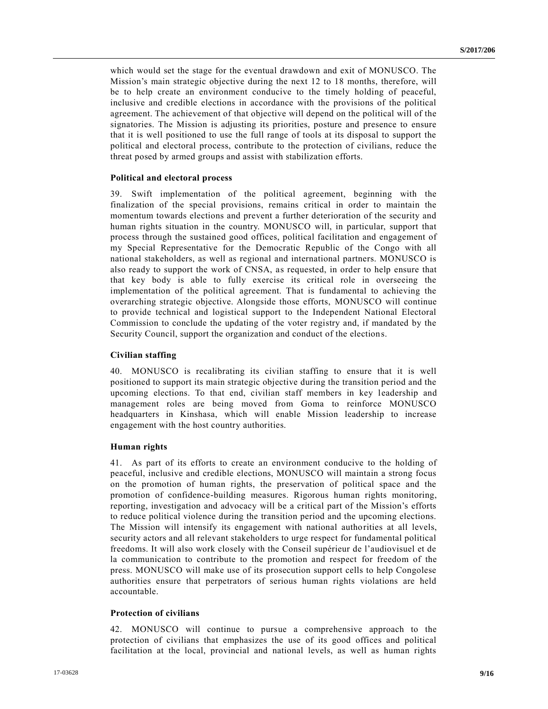which would set the stage for the eventual drawdown and exit of MONUSCO. The Mission's main strategic objective during the next 12 to 18 months, therefore, will be to help create an environment conducive to the timely holding of peaceful, inclusive and credible elections in accordance with the provisions of the political agreement. The achievement of that objective will depend on the political will of the signatories. The Mission is adjusting its priorities, posture and presence to ensure that it is well positioned to use the full range of tools at its disposal to support the political and electoral process, contribute to the protection of civilians, reduce the threat posed by armed groups and assist with stabilization efforts.

#### **Political and electoral process**

39. Swift implementation of the political agreement, beginning with the finalization of the special provisions, remains critical in order to maintain the momentum towards elections and prevent a further deterioration of the security and human rights situation in the country. MONUSCO will, in particular, support that process through the sustained good offices, political facilitation and engagement of my Special Representative for the Democratic Republic of the Congo with all national stakeholders, as well as regional and international partners. MONUSCO is also ready to support the work of CNSA, as requested, in order to help ensure that that key body is able to fully exercise its critical role in overseeing the implementation of the political agreement. That is fundamental to achieving the overarching strategic objective. Alongside those efforts, MONUSCO will continue to provide technical and logistical support to the Independent National Electoral Commission to conclude the updating of the voter registry and, if mandated by the Security Council, support the organization and conduct of the elections.

#### **Civilian staffing**

40. MONUSCO is recalibrating its civilian staffing to ensure that it is well positioned to support its main strategic objective during the transition period and the upcoming elections. To that end, civilian staff members in key leadership and management roles are being moved from Goma to reinforce MONUSCO headquarters in Kinshasa, which will enable Mission leadership to increase engagement with the host country authorities.

#### **Human rights**

41. As part of its efforts to create an environment conducive to the holding of peaceful, inclusive and credible elections, MONUSCO will maintain a strong focus on the promotion of human rights, the preservation of political space and the promotion of confidence-building measures. Rigorous human rights monitoring, reporting, investigation and advocacy will be a critical part of the Mission's efforts to reduce political violence during the transition period and the upcoming elections. The Mission will intensify its engagement with national authorities at all levels, security actors and all relevant stakeholders to urge respect for fundamental political freedoms. It will also work closely with the Conseil supérieur de l'audiovisuel et de la communication to contribute to the promotion and respect for freedom of the press. MONUSCO will make use of its prosecution support cells to help Congolese authorities ensure that perpetrators of serious human rights violations are held accountable.

#### **Protection of civilians**

42. MONUSCO will continue to pursue a comprehensive approach to the protection of civilians that emphasizes the use of its good offices and political facilitation at the local, provincial and national levels, as well as human rights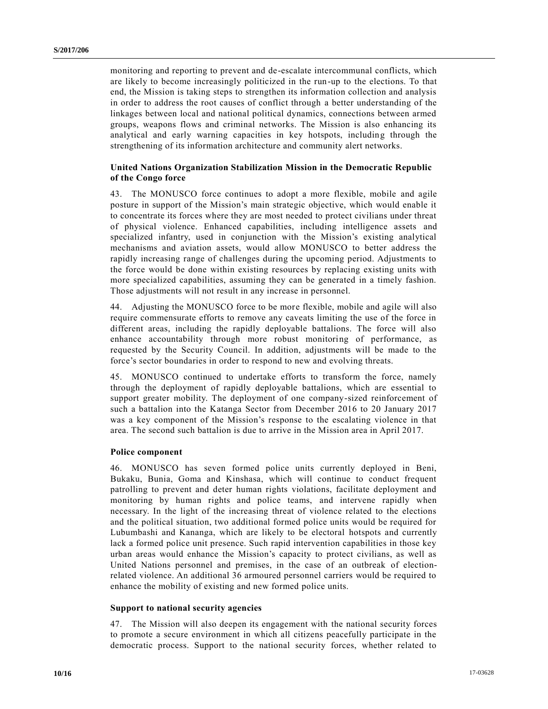monitoring and reporting to prevent and de-escalate intercommunal conflicts, which are likely to become increasingly politicized in the run-up to the elections. To that end, the Mission is taking steps to strengthen its information collection and analysis in order to address the root causes of conflict through a better understanding of the linkages between local and national political dynamics, connections between armed groups, weapons flows and criminal networks. The Mission is also enhancing its analytical and early warning capacities in key hotspots, including through the strengthening of its information architecture and community alert networks.

#### **United Nations Organization Stabilization Mission in the Democratic Republic of the Congo force**

43. The MONUSCO force continues to adopt a more flexible, mobile and agile posture in support of the Mission's main strategic objective, which would enable it to concentrate its forces where they are most needed to protect civilians under threat of physical violence. Enhanced capabilities, including intelligence assets and specialized infantry, used in conjunction with the Mission's existing analytical mechanisms and aviation assets, would allow MONUSCO to better address the rapidly increasing range of challenges during the upcoming period. Adjustments to the force would be done within existing resources by replacing existing units with more specialized capabilities, assuming they can be generated in a timely fashion. Those adjustments will not result in any increase in personnel.

44. Adjusting the MONUSCO force to be more flexible, mobile and agile will also require commensurate efforts to remove any caveats limiting the use of the force in different areas, including the rapidly deployable battalions. The force will also enhance accountability through more robust monitoring of performance, as requested by the Security Council. In addition, adjustments will be made to the force's sector boundaries in order to respond to new and evolving threats.

45. MONUSCO continued to undertake efforts to transform the force, namely through the deployment of rapidly deployable battalions, which are essential to support greater mobility. The deployment of one company-sized reinforcement of such a battalion into the Katanga Sector from December 2016 to 20 January 2017 was a key component of the Mission's response to the escalating violence in that area. The second such battalion is due to arrive in the Mission area in April 2017.

#### **Police component**

46. MONUSCO has seven formed police units currently deployed in Beni, Bukaku, Bunia, Goma and Kinshasa, which will continue to conduct frequent patrolling to prevent and deter human rights violations, facilitate deployment and monitoring by human rights and police teams, and intervene rapidly when necessary. In the light of the increasing threat of violence related to the elections and the political situation, two additional formed police units would be required for Lubumbashi and Kananga, which are likely to be electoral hotspots and currently lack a formed police unit presence. Such rapid intervention capabilities in those key urban areas would enhance the Mission's capacity to protect civilians, as well as United Nations personnel and premises, in the case of an outbreak of electionrelated violence. An additional 36 armoured personnel carriers would be required to enhance the mobility of existing and new formed police units.

#### **Support to national security agencies**

47. The Mission will also deepen its engagement with the national security forces to promote a secure environment in which all citizens peacefully participate in the democratic process. Support to the national security forces, whether related to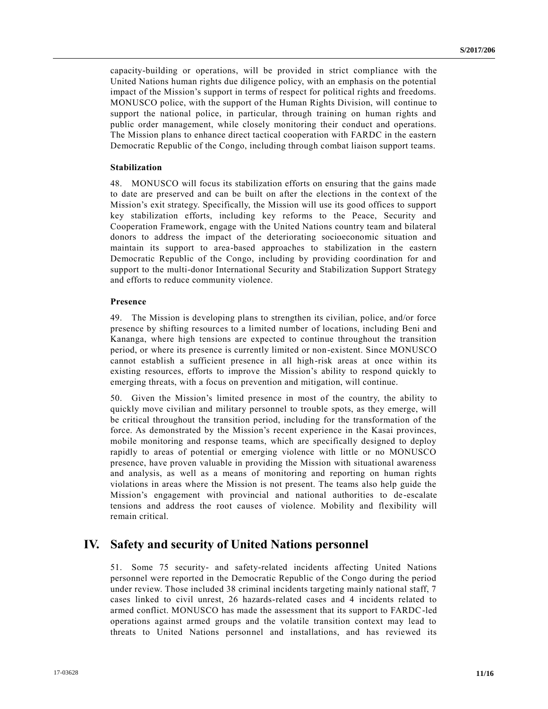capacity-building or operations, will be provided in strict compliance with the United Nations human rights due diligence policy, with an emphasis on the potential impact of the Mission's support in terms of respect for political rights and freedoms. MONUSCO police, with the support of the Human Rights Division, will continue to support the national police, in particular, through training on human rights and public order management, while closely monitoring their conduct and operations. The Mission plans to enhance direct tactical cooperation with FARDC in the eastern Democratic Republic of the Congo, including through combat liaison support teams.

#### **Stabilization**

48. MONUSCO will focus its stabilization efforts on ensuring that the gains made to date are preserved and can be built on after the elections in the context of the Mission's exit strategy. Specifically, the Mission will use its good offices to support key stabilization efforts, including key reforms to the Peace, Security and Cooperation Framework, engage with the United Nations country team and bilateral donors to address the impact of the deteriorating socioeconomic situation and maintain its support to area-based approaches to stabilization in the eastern Democratic Republic of the Congo, including by providing coordination for and support to the multi-donor International Security and Stabilization Support Strategy and efforts to reduce community violence.

#### **Presence**

49. The Mission is developing plans to strengthen its civilian, police, and/or force presence by shifting resources to a limited number of locations, including Beni and Kananga, where high tensions are expected to continue throughout the transition period, or where its presence is currently limited or non-existent. Since MONUSCO cannot establish a sufficient presence in all high-risk areas at once within its existing resources, efforts to improve the Mission's ability to respond quickly to emerging threats, with a focus on prevention and mitigation, will continue.

50. Given the Mission's limited presence in most of the country, the ability to quickly move civilian and military personnel to trouble spots, as they emerge, will be critical throughout the transition period, including for the transformation of the force. As demonstrated by the Mission's recent experience in the Kasai provinces, mobile monitoring and response teams, which are specifically designed to deploy rapidly to areas of potential or emerging violence with little or no MONUSCO presence, have proven valuable in providing the Mission with situational awareness and analysis, as well as a means of monitoring and reporting on human rights violations in areas where the Mission is not present. The teams also help guide the Mission's engagement with provincial and national authorities to de -escalate tensions and address the root causes of violence. Mobility and flexibility will remain critical.

### **IV. Safety and security of United Nations personnel**

51. Some 75 security- and safety-related incidents affecting United Nations personnel were reported in the Democratic Republic of the Congo during the period under review. Those included 38 criminal incidents targeting mainly national staff, 7 cases linked to civil unrest, 26 hazards-related cases and 4 incidents related to armed conflict. MONUSCO has made the assessment that its support to FARDC-led operations against armed groups and the volatile transition context may lead to threats to United Nations personnel and installations, and has reviewed its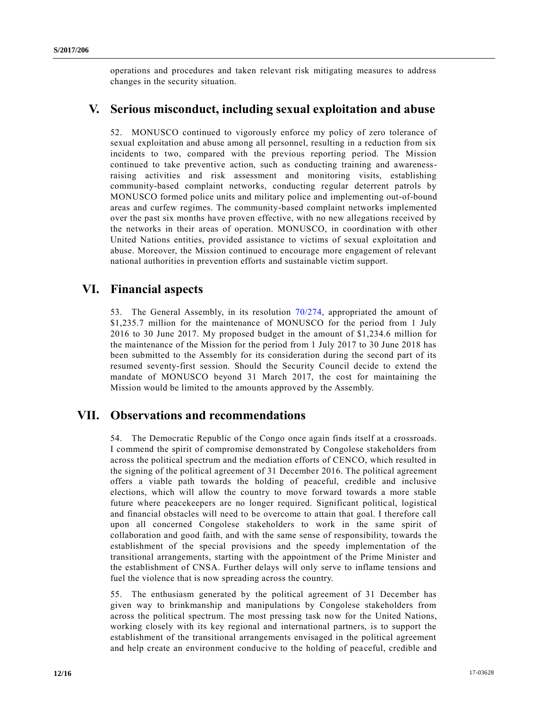operations and procedures and taken relevant risk mitigating measures to address changes in the security situation.

### **V. Serious misconduct, including sexual exploitation and abuse**

52. MONUSCO continued to vigorously enforce my policy of zero tolerance of sexual exploitation and abuse among all personnel, resulting in a reduction from six incidents to two, compared with the previous reporting period. The Mission continued to take preventive action, such as conducting training and awarenessraising activities and risk assessment and monitoring visits, establishing community-based complaint networks, conducting regular deterrent patrols by MONUSCO formed police units and military police and implementing out-of-bound areas and curfew regimes. The community-based complaint networks implemented over the past six months have proven effective, with no new allegations received by the networks in their areas of operation. MONUSCO, in coordination with other United Nations entities, provided assistance to victims of sexual exploitation and abuse. Moreover, the Mission continued to encourage more engagement of relevant national authorities in prevention efforts and sustainable victim support.

## **VI. Financial aspects**

53. The General Assembly, in its resolution [70/274,](http://undocs.org/A/RES/70/274) appropriated the amount of \$1,235.7 million for the maintenance of MONUSCO for the period from 1 July 2016 to 30 June 2017. My proposed budget in the amount of \$1,234.6 million for the maintenance of the Mission for the period from 1 July 2017 to 30 June 2018 has been submitted to the Assembly for its consideration during the second part of its resumed seventy-first session. Should the Security Council decide to extend the mandate of MONUSCO beyond 31 March 2017, the cost for maintaining the Mission would be limited to the amounts approved by the Assembly.

## **VII. Observations and recommendations**

54. The Democratic Republic of the Congo once again finds itself at a crossroads. I commend the spirit of compromise demonstrated by Congolese stakeholders from across the political spectrum and the mediation efforts of CENCO, which resulted in the signing of the political agreement of 31 December 2016. The political agreement offers a viable path towards the holding of peaceful, credible and inclusive elections, which will allow the country to move forward towards a more stable future where peace keepers are no longer required. Significant political, logistical and financial obstacles will need to be overcome to attain that goal. I therefore call upon all concerned Congolese stakeholders to work in the same spirit of collaboration and good faith, and with the same sense of responsibility, towards t he establishment of the special provisions and the speedy implementation of the transitional arrangements, starting with the appointment of the Prime Minister and the establishment of CNSA. Further delays will only serve to inflame tensions and fuel the violence that is now spreading across the country.

55. The enthusiasm generated by the political agreement of 31 December has given way to brinkmanship and manipulations by Congolese stakeholders from across the political spectrum. The most pressing task now for the United Nations, working closely with its key regional and international partners, is to support the establishment of the transitional arrangements envisaged in the political agreement and help create an environment conducive to the holding of peaceful, credible and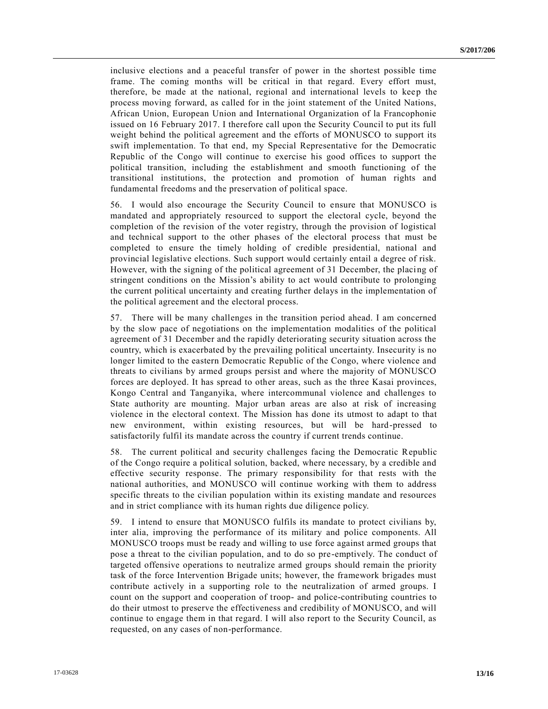inclusive elections and a peaceful transfer of power in the shortest possible time frame. The coming months will be critical in that regard. Every effort must, therefore, be made at the national, regional and international levels to keep the process moving forward, as called for in the joint statement of the United Nations, African Union, European Union and International Organization of la Francophonie issued on 16 February 2017. I therefore call upon the Security Council to put its full weight behind the political agreement and the efforts of MONUSCO to support its swift implementation. To that end, my Special Representative for the Democratic Republic of the Congo will continue to exercise his good offices to support the political transition, including the establishment and smooth functioning of the transitional institutions, the protection and promotion of human rights and fundamental freedoms and the preservation of political space.

56. I would also encourage the Security Council to ensure that MONUSCO is mandated and appropriately resourced to support the electoral cycle, beyond the completion of the revision of the voter registry, through the provision of logistical and technical support to the other phases of the electoral process that must be completed to ensure the timely holding of credible presidential, national and provincial legislative elections. Such support would certainly entail a degree of risk. However, with the signing of the political agreement of 31 December, the placing of stringent conditions on the Mission's ability to act would contribute to prolonging the current political uncertainty and creating further delays in the implementation of the political agreement and the electoral process.

57. There will be many challenges in the transition period ahead. I am concerned by the slow pace of negotiations on the implementation modalities of the political agreement of 31 December and the rapidly deteriorating security situation across the country, which is exacerbated by the prevailing political uncertainty. Insecurity is no longer limited to the eastern Democratic Republic of the Congo, where violence and threats to civilians by armed groups persist and where the majority of MONUSCO forces are deployed. It has spread to other areas, such as the three Kasai provinces, Kongo Central and Tanganyika, where intercommunal violence and challenges to State authority are mounting. Major urban areas are also at risk of increasing violence in the electoral context. The Mission has done its utmost to adapt to that new environment, within existing resources, but will be hard-pressed to satisfactorily fulfil its mandate across the country if current trends continue.

58. The current political and security challenges facing the Democratic Republic of the Congo require a political solution, backed, where necessary, by a credible and effective security response. The primary responsibility for that rests with the national authorities, and MONUSCO will continue working with them to address specific threats to the civilian population within its existing mandate and resources and in strict compliance with its human rights due diligence policy.

59. I intend to ensure that MONUSCO fulfils its mandate to protect civilians by, inter alia, improving the performance of its military and police components. All MONUSCO troops must be ready and willing to use force against armed groups that pose a threat to the civilian population, and to do so pre-emptively. The conduct of targeted offensive operations to neutralize armed groups should remain the priority task of the force Intervention Brigade units; however, the framework brigades must contribute actively in a supporting role to the neutralization of armed groups. I count on the support and cooperation of troop- and police-contributing countries to do their utmost to preserve the effectiveness and credibility of MONUSCO, and will continue to engage them in that regard. I will also report to the Security Council, as requested, on any cases of non-performance.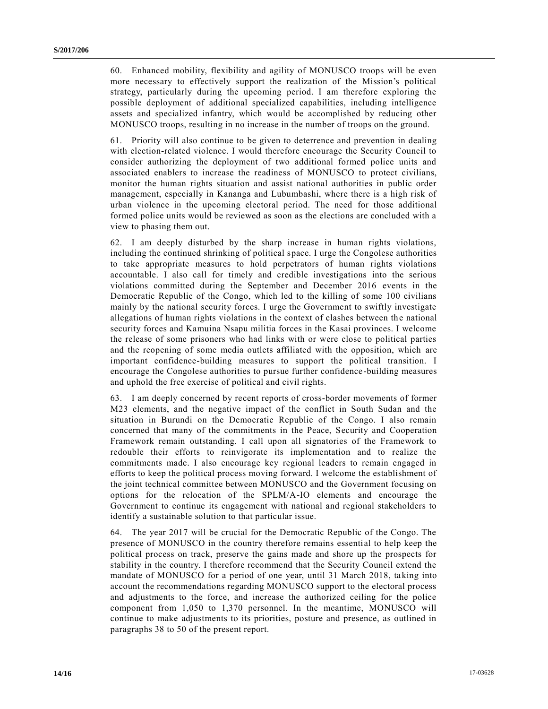60. Enhanced mobility, flexibility and agility of MONUSCO troops will be even more necessary to effectively support the realization of the Mission's political strategy, particularly during the upcoming period. I am therefore exploring the possible deployment of additional specialized capabilities, including intelligence assets and specialized infantry, which would be accomplished by reducing other MONUSCO troops, resulting in no increase in the number of troops on the ground.

61. Priority will also continue to be given to deterrence and prevention in dealing with election-related violence. I would therefore encourage the Security Council to consider authorizing the deployment of two additional formed police units and associated enablers to increase the readiness of MONUSCO to protect civilians, monitor the human rights situation and assist national authorities in public order management, especially in Kananga and Lubumbashi, where there is a high risk of urban violence in the upcoming electoral period. The need for those additional formed police units would be reviewed as soon as the elections are concluded with a view to phasing them out.

62. I am deeply disturbed by the sharp increase in human rights violations, including the continued shrinking of political space. I urge the Congolese authorities to take appropriate measures to hold perpetrators of human rights violations accountable. I also call for timely and credible investigations into the serious violations committed during the September and December 2016 events in the Democratic Republic of the Congo, which led to the killing of some 100 civilians mainly by the national security forces. I urge the Government to swiftly investigate allegations of human rights violations in the context of clashes between the national security forces and Kamuina Nsapu militia forces in the Kasai provinces. I welcome the release of some prisoners who had links with or were close to political parties and the reopening of some media outlets affiliated with the opposition, which are important confidence-building measures to support the political transition. I encourage the Congolese authorities to pursue further confidence -building measures and uphold the free exercise of political and civil rights.

63. I am deeply concerned by recent reports of cross-border movements of former M23 elements, and the negative impact of the conflict in South Sudan and the situation in Burundi on the Democratic Republic of the Congo. I also remain concerned that many of the commitments in the Peace, Security and Cooperation Framework remain outstanding. I call upon all signatories of the Framework to redouble their efforts to reinvigorate its implementation and to realize the commitments made. I also encourage key regional leaders to remain engaged in efforts to keep the political process moving forward. I welcome the establishment of the joint technical committee between MONUSCO and the Government focusing on options for the relocation of the SPLM/A-IO elements and encourage the Government to continue its engagement with national and regional stakeholders to identify a sustainable solution to that particular issue.

64. The year 2017 will be crucial for the Democratic Republic of the Congo. The presence of MONUSCO in the country therefore remains essential to help keep the political process on track, preserve the gains made and shore up the prospects for stability in the country. I therefore recommend that the Security Council extend the mandate of MONUSCO for a period of one year, until 31 March 2018, taking into account the recommendations regarding MONUSCO support to the electoral process and adjustments to the force, and increase the authorized ceiling for the police component from 1,050 to 1,370 personnel. In the meantime, MONUSCO will continue to make adjustments to its priorities, posture and presence, as outlined in paragraphs 38 to 50 of the present report.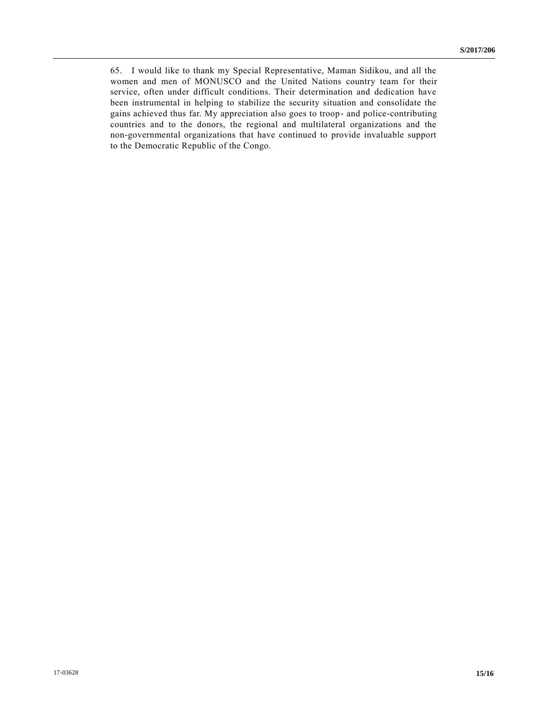65. I would like to thank my Special Representative, Maman Sidikou, and all the women and men of MONUSCO and the United Nations country team for their service, often under difficult conditions. Their determination and dedication have been instrumental in helping to stabilize the security situation and consolidate the gains achieved thus far. My appreciation also goes to troop- and police-contributing countries and to the donors, the regional and multilateral organizations and the non-governmental organizations that have continued to provide invaluable support to the Democratic Republic of the Congo.